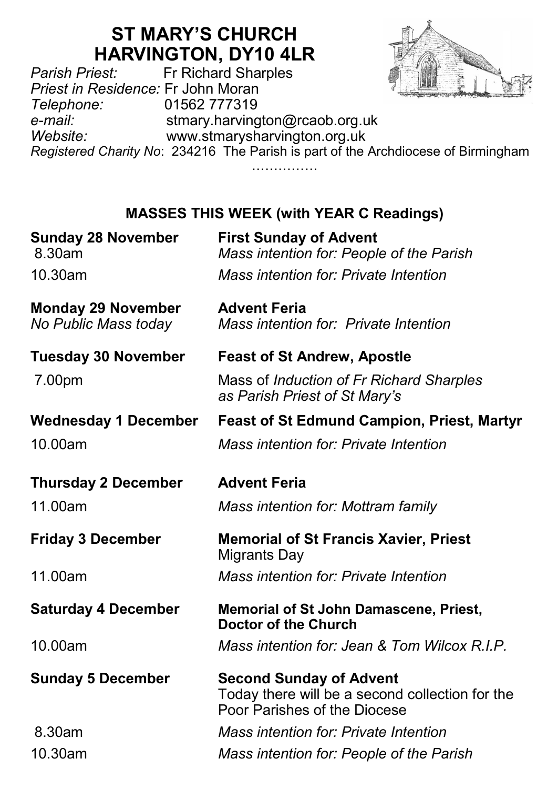# **ST MARY'S CHURCH HARVINGTON, DY10 4LR**<br>Fr Richard Sharples



*Parish Priest:* Fr Richard Sharples *Priest in Residence:* Fr John Moran *Telephone:* 01562 777319 *e-mail:* stmary.harvington@rcaob.org.uk *Website:* www.stmarysharvington.org.uk *Registered Charity No*: 234216 The Parish is part of the Archdiocese of Birmingham …………………

## **MASSES THIS WEEK (with YEAR C Readings)**

| <b>Sunday 28 November</b><br>8.30am               | <b>First Sunday of Advent</b><br>Mass intention for: People of the Parish                                         |  |
|---------------------------------------------------|-------------------------------------------------------------------------------------------------------------------|--|
| 10.30am                                           | Mass intention for: Private Intention                                                                             |  |
| <b>Monday 29 November</b><br>No Public Mass today | <b>Advent Feria</b><br>Mass intention for: Private Intention                                                      |  |
| Tuesday 30 November                               | <b>Feast of St Andrew, Apostle</b>                                                                                |  |
| 7.00pm                                            | Mass of Induction of Fr Richard Sharples<br>as Parish Priest of St Mary's                                         |  |
| <b>Wednesday 1 December</b>                       | <b>Feast of St Edmund Campion, Priest, Martyr</b>                                                                 |  |
| 10.00am                                           | Mass intention for: Private Intention                                                                             |  |
| <b>Thursday 2 December</b>                        | <b>Advent Feria</b>                                                                                               |  |
| 11.00am                                           | Mass intention for: Mottram family                                                                                |  |
| <b>Friday 3 December</b>                          | <b>Memorial of St Francis Xavier, Priest</b><br>Migrants Day                                                      |  |
| 11.00am                                           | Mass intention for: Private Intention                                                                             |  |
| <b>Saturday 4 December</b>                        | <b>Memorial of St John Damascene, Priest,</b><br>Doctor of the Church                                             |  |
| 10.00am                                           | Mass intention for: Jean & Tom Wilcox R.I.P.                                                                      |  |
| <b>Sunday 5 December</b>                          | <b>Second Sunday of Advent</b><br>Today there will be a second collection for the<br>Poor Parishes of the Diocese |  |
| 8.30am                                            | Mass intention for: Private Intention                                                                             |  |
| 10.30am                                           | Mass intention for: People of the Parish                                                                          |  |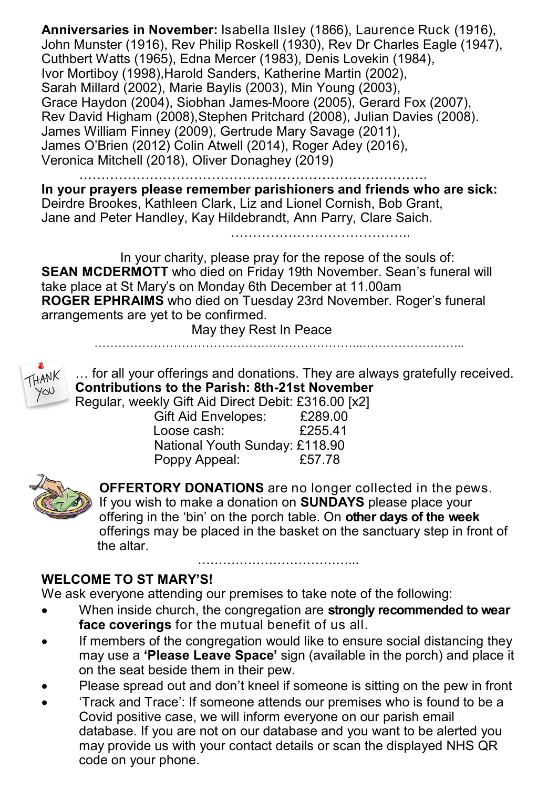**Anniversaries in November:** Isabella Ilsley (1866), Laurence Ruck (1916), John Munster (1916), Rev Philip Roskell (1930), Rev Dr Charles Eagle (1947), Cuthbert Watts (1965), Edna Mercer (1983), Denis Lovekin (1984), Ivor Mortiboy (1998),Harold Sanders, Katherine Martin (2002), Sarah Millard (2002), Marie Baylis (2003), Min Young (2003), Grace Haydon (2004), Siobhan James-Moore (2005), Gerard Fox (2007), Rev David Higham (2008),Stephen Pritchard (2008), Julian Davies (2008). James William Finney (2009), Gertrude Mary Savage (2011), James O'Brien (2012) Colin Atwell (2014), Roger Adey (2016), Veronica Mitchell (2018), Oliver Donaghey (2019)

…………………………………………………………………….

**In your prayers please remember parishioners and friends who are sick:**  Deirdre Brookes, Kathleen Clark, Liz and Lionel Cornish, Bob Grant, Jane and Peter Handley, Kay Hildebrandt, Ann Parry, Clare Saich.

…………………………………..

In your charity, please pray for the repose of the souls of: **SEAN MCDERMOTT** who died on Friday 19th November. Sean's funeral will take place at St Mary's on Monday 6th December at 11.00am **ROGER EPHRAIMS** who died on Tuesday 23rd November. Roger's funeral arrangements are yet to be confirmed.

May they Rest In Peace



… for all your offerings and donations. They are always gratefully received. **Contributions to the Parish: 8th-21st November**

Regular, weekly Gift Aid Direct Debit: £316.00 [x2]

…………………………………………………………..……………………..

| <b>Gift Aid Envelopes:</b>     | £289.00 |
|--------------------------------|---------|
| Loose cash:                    | £255.41 |
| National Youth Sunday: £118.90 |         |
| Poppy Appeal:                  | £57.78  |



**OFFERTORY DONATIONS** are no longer collected in the pews. If you wish to make a donation on **SUNDAYS** please place your offering in the 'bin' on the porch table. On **other days of the week**  offerings may be placed in the basket on the sanctuary step in front of the altar.

### **WELCOME TO ST MARY'S!**

We ask everyone attending our premises to take note of the following:

- When inside church, the congregation are **strongly recommended to wear face coverings** for the mutual benefit of us all.
- If members of the congregation would like to ensure social distancing they may use a **'Please Leave Space'** sign (available in the porch) and place it on the seat beside them in their pew.
- Please spread out and don't kneel if someone is sitting on the pew in front
- 'Track and Trace': If someone attends our premises who is found to be a Covid positive case, we will inform everyone on our parish email database. If you are not on our database and you want to be alerted you may provide us with your contact details or scan the displayed NHS QR code on your phone.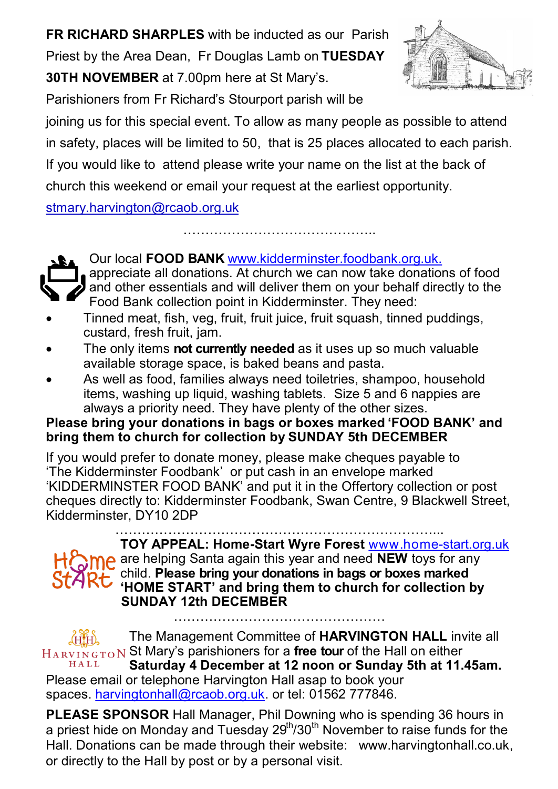**FR RICHARD SHARPLES** with be inducted as our Parish Priest by the Area Dean, Fr Douglas Lamb on **TUESDAY 30TH NOVEMBER** at 7.00pm here at St Mary's.



Parishioners from Fr Richard's Stourport parish will be

joining us for this special event. To allow as many people as possible to attend in safety, places will be limited to 50, that is 25 places allocated to each parish. If you would like to attend please write your name on the list at the back of church this weekend or email your request at the earliest opportunity.

……………………………………..

stmary.harvington@rcaob.org.uk

Our local **FOOD BANK** www.kidderminster.foodbank.org.uk.

- appreciate all donations. At church we can now take donations of food  $\frac{1}{2}$  and other essentials and will deliver them on your behalf directly to the Food Bank collection point in Kidderminster. They need:
- Tinned meat, fish, veg, fruit, fruit juice, fruit squash, tinned puddings, custard, fresh fruit, jam.
- The only items **not currently needed** as it uses up so much valuable available storage space, is baked beans and pasta.
- As well as food, families always need toiletries, shampoo, household items, washing up liquid, washing tablets. Size 5 and 6 nappies are always a priority need. They have plenty of the other sizes.

### **Please bring your donations in bags or boxes marked 'FOOD BANK' and bring them to church for collection by SUNDAY 5th DECEMBER**

If you would prefer to donate money, please make cheques payable to 'The Kidderminster Foodbank' or put cash in an envelope marked 'KIDDERMINSTER FOOD BANK' and put it in the Offertory collection or post cheques directly to: Kidderminster Foodbank, Swan Centre, 9 Blackwell Street, Kidderminster, DY10 2DP

………………………………………………………………... **TOY APPEAL: Home-Start Wyre Forest** www.home-start.org.uk are helping Santa again this year and need **NEW** toys for any child. **Please bring your donations in bags or boxes marked STARt** Critics. Please pring your consuction is exagged to collection by **SUNDAY 12th DECEMBER** …………………………………………

The Management Committee of **HARVINGTON HALL** invite all St Mary's parishioners for a **free tour** of the Hall on either HALL **Saturday 4 December at 12 noon or Sunday 5th at 11.45am.**  Please email or telephone Harvington Hall asap to book your

spaces. [harvingtonhall@rcaob.org.uk.](mailto:harvingtonhall@rcaob.org.uk) or tel: 01562 777846.

**PLEASE SPONSOR** Hall Manager, Phil Downing who is spending 36 hours in a priest hide on Monday and Tuesday  $29<sup>th</sup>/30<sup>th</sup>$  November to raise funds for the Hall. Donations can be made through their website: www.harvingtonhall.co.uk, or directly to the Hall by post or by a personal visit.